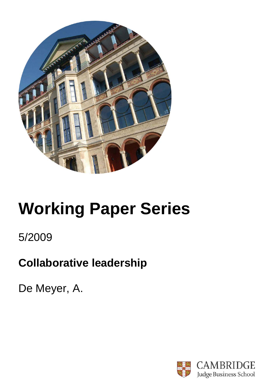

# **Working Paper Series**

5/2009

## **Collaborative leadership**

De Meyer, A.

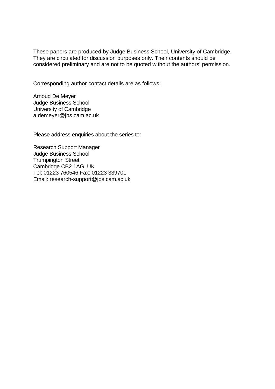These papers are produced by Judge Business School, University of Cambridge. They are circulated for discussion purposes only. Their contents should be considered preliminary and are not to be quoted without the authors' permission.

Corresponding author contact details are as follows:

Arnoud De Meyer Judge Business School University of Cambridge a.demeyer@jbs.cam.ac.uk

Please address enquiries about the series to:

Research Support Manager Judge Business School Trumpington Street Cambridge CB2 1AG, UK Tel: 01223 760546 Fax: 01223 339701 Email: research-support@jbs.cam.ac.uk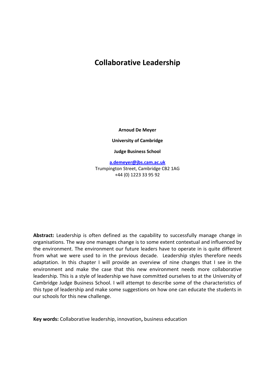### **Collaborative Leadership**

**Arnoud De Meyer**

**University of Cambridge** 

**Judge Business School**

**a.demeyer@jbs.cam.ac.uk** Trumpington Street, Cambridge CB2 1AG +44 (0) 1223 33 95 92

**Abstract:** Leadership is often defined as the capability to successfully manage change in organisations. The way one manages change is to some extent contextual and influenced by the environment. The environment our future leaders have to operate in is quite different from what we were used to in the previous decade. Leadership styles therefore needs adaptation. In this chapter I will provide an overview of nine changes that I see in the environment and make the case that this new environment needs more collaborative leadership. This is a style of leadership we have committed ourselves to at the University of Cambridge Judge Business School. I will attempt to describe some of the characteristics of this type of leadership and make some suggestions on how one can educate the students in our schools for this new challenge.

**Key words:** Collaborative leadership, innovation**,** business education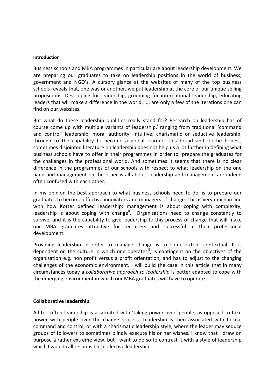#### **Introduction**

Business schools and MBA programmes in particular are about leadership development. We are preparing our graduates to take on leadership positions in the world of business, government and NGO's. A cursory glance at the websites of many of the top business schools reveals that, one way or another, we put leadership at the core of our unique selling propositions. Developing for leadership, grooming for international leadership, educating leaders that will make a difference in the world, ..., are only a few of the iterations one can find on our websites.

But what do these leadership qualities really stand for? Research on leadership has of course come up with multiple variants of leadership, $i$  ranging from traditional 'command and control' leadership, moral authority, intuitive, charismatic or seductive leadership, through to the capability to become a global learner. This broad and, to be honest, sometimes disjointed literature on leadership does not help us a lot further in defining what business schools have to offer in their programmes in order to prepare the graduates for the challenges in the professional world. And sometimes it seems that there is no clear difference in the programmes of our schools with respect to what leadership on the one hand and management on the other is all about. Leadership and management are indeed often confused with each other.

In my opinion the best approach to what business schools need to do, is to prepare our graduates to become effective innovators and managers of change. This is very much in line with how Kotter defined leadership: management is about coping with complexity, leadership is about coping with change<sup>ii</sup>. Organisations need to change constantly to survive, and it is the capability to give leadership to this process of change that will make our MBA graduates attractive for recruiters and successful in their professional development.

Providing leadership in order to manage change is to some extent contextual. It is dependent on the culture in which one operates<sup> $\ddot{u}$ </sup>, is contingent on the objectives of the organisation e.g. non profit versus a profit orientation, and has to adjust to the changing challenges of the economic environment. I will build the case in this article that in many circumstances today a *collaborative approach to leadership* is better adapted to cope with the emerging environment in which our MBA graduates will have to operate.

#### **Collaborative leadership**

All too often leadership is associated with 'taking power over' people, as opposed to take power with people over the change process. Leadership is then associated with formal command and control, or with a charismatic leadership style, where the leader may seduce groups of followers to sometimes blindly execute his or her wishes. I know that I draw on purpose a rather extreme view, but I want to do so to contrast it with a style of leadership which I would call responsible, collective leadership.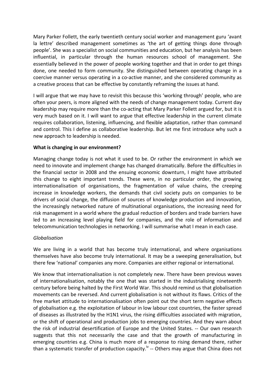Mary Parker Follett, the early twentieth century social worker and management guru 'avant la lettre' described management sometimes as 'the art of getting things done through people'. She was a specialist on social communities and education, but her analysis has been influential, in particular through the human resources school of management. She essentially believed in the power of people working together and that in order to get things done, one needed to form community. She distinguished between operating change in a coercive manner versus operating in a co‐active manner, and she considered community as a creative process that can be effective by constantly reframing the issues at hand.

I will argue that we may have to revisit this because this 'working through' people, who are often your peers, is more aligned with the needs of change management today. Current day leadership may require more than the co-acting that Mary Parker Follett argued for, but it is very much based on it. I will want to argue that effective leadership in the current climate requires collaboration, listening, influencing, and flexible adaptation, rather than command and control. This I define as collaborative leadership. But let me first introduce why such a new approach to leadership is needed.

#### **What is changing in our environment?**

Managing change today is not what it used to be. Or rather the environment in which we need to innovate and implement change has changed dramatically. Before the difficulties in the financial sector in 2008 and the ensuing economic downturn, I might have attributed this change to eight important trends. These were, in no particular order, the growing internationalisation of organisations, the fragmentation of value chains, the creeping increase in knowledge workers, the demands that civil society puts on companies to be drivers of social change, the diffusion of sources of knowledge production and innovation, the increasingly networked nature of multinational organisations, the increasing need for risk management in a world where the gradual reduction of borders and trade barriers have led to an increasing level playing field for companies, and the role of information and telecommunication technologies in networking. I will summarise what I mean in each case.

#### *Globalisation*

We are living in a world that has become truly international, and where organisations themselves have also become truly international. It may be a sweeping generalisation, but there few 'national' companies any more. Companies are either regional or international.

We know that internationalisation is not completely new. There have been previous waves of internationalisation, notably the one that was started in the industrialising nineteenth century before being halted by the First World War. This should remind us that globalisation movements can be reversed. And current globalisation is not without its flaws. Critics of the free market attitude to internationalisation often point out the short term negative effects of globalisation e.g. the exploitation of labour in low labour cost countries, the faster spread of diseases as illustrated by the H1N1 virus, the rising difficulties associated with migration, or the shift of operational and production jobs to emerging countries. And they warn about the risk of industrial desertification of Europe and the United States. ‐‐ Our own research suggests that this not necessarily the case and that the growth of manufacturing in emerging countries e.g. China is much more of a response to rising demand there, rather than a systematic transfer of production capacity.<sup>iv</sup> -- Others may argue that China does not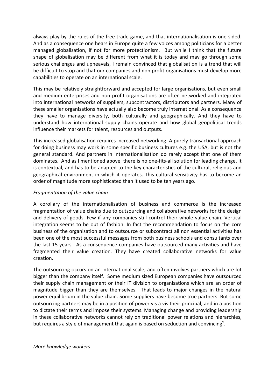always play by the rules of the free trade game, and that internationalisation is one sided. And as a consequence one hears in Europe quite a few voices among politicians for a better managed globalisation, if not for more protectionism. But while I think that the future shape of globalisation may be different from what it is today and may go through some serious challenges and upheavals, I remain convinced that globalisation is a trend that will be difficult to stop and that our companies and non profit organisations must develop more capabilities to operate on an international scale.

This may be relatively straightforward and accepted for large organisations, but even small and medium enterprises and non profit organisations are often networked and integrated into international networks of suppliers, subcontractors, distributors and partners. Many of these smaller organisations have actually also become truly international. As a consequence they have to manage diversity, both culturally and geographically. And they have to understand how international supply chains operate and how global geopolitical trends influence their markets for talent, resources and outputs.

This increased globalisation requires increased networking. A purely transactional approach for doing business may work in some specific business cultures e.g. the USA, but is not the general standard. And partners in internationalisation do rarely accept that one of them dominates. And as I mentioned above, there is no one-fits-all solution for leading change. It is contextual, and has to be adapted to the key characteristics of the cultural, religious and geographical environment in which it operates. This cultural sensitivity has to become an order of magnitude more sophisticated than it used to be ten years ago.

#### *Fragmentation of the value chain*

A corollary of the internationalisation of business and commerce is the increased fragmentation of value chains due to outsourcing and collaborative networks for the design and delivery of goods. Few if any companies still control their whole value chain. Vertical integration seems to be out of fashion. In fact the recommendation to focus on the core business of the organisation and to outsource or subcontract all non essential activities has been one of the most successful messages from both business schools and consultants over the last 15 years. As a consequence companies have outsourced many activities and have fragmented their value creation. They have created collaborative networks for value creation.

The outsourcing occurs on an international scale, and often involves partners which are lot bigger than the company itself. Some medium sized European companies have outsourced their supply chain management or their IT division to organisations which are an order of magnitude bigger than they are themselves. That leads to major changes in the natural power equilibrium in the value chain. Some suppliers have become true partners. But some outsourcing partners may be in a position of power vis a vis their principal, and in a position to dictate their terms and impose their systems. Managing change and providing leadership in these collaborative networks cannot rely on traditional power relations and hierarchies, but requires a style of management that again is based on seduction and convincing<sup>v</sup>.

*More knowledge workers*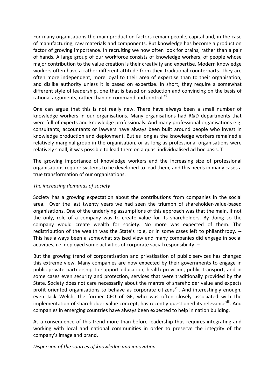For many organisations the main production factors remain people, capital and, in the case of manufacturing, raw materials and components. But knowledge has become a production factor of growing importance. In recruiting we now often look for brains, rather than a pair of hands. A large group of our workforce consists of knowledge workers, of people whose major contribution to the value creation is their creativity and expertise. Modern knowledge workers often have a rather different attitude from their traditional counterparts. They are often more independent, more loyal to their area of expertise than to their organisation, and dislike authority unless it is based on expertise. In short, they require a somewhat different style of leadership, one that is based on seduction and convincing on the basis of rational arguments, rather than on command and control.<sup>vi</sup>

One can argue that this is not really new. There have always been a small number of knowledge workers in our organisations. Many organisations had R&D departments that were full of experts and knowledge professionals. And many professional organisations e.g. consultants, accountants or lawyers have always been built around people who invest in knowledge production and deployment. But as long as the knowledge workers remained a relatively marginal group in the organisation, or as long as professional organisations were relatively small, it was possible to lead them on a quasi individualised ad hoc basis. T

The growing importance of knowledge workers and the increasing size of professional organisations require systems to be developed to lead them, and this needs in many cases a true transformation of our organisations.

#### *The increasing demands of society*

Society has a growing expectation about the contributions from companies in the social area. Over the last twenty years we had seen the triumph of shareholder‐value‐based organisations. One of the underlying assumptions of this approach was that the main, if not the only, role of a company was to create value for its shareholders. By doing so the company would create wealth for society. No more was expected of them. The redistribution of the wealth was the State's role, or in some cases left to philanthropy. ‐‐ This has always been a somewhat stylised view and many companies did engage in social activities, i.e. deployed some activities of corporate social responsibility. –

But the growing trend of corporatisation and privatisation of public services has changed this extreme view. Many companies are now expected by their governments to engage in public‐private partnership to support education, health provision, public transport, and in some cases even security and protection, services that were traditionally provided by the State. Society does not care necessarily about the mantra of shareholder value and expects profit oriented organisations to behave as corporate citizens<sup>vii</sup>. And interestingly enough, even Jack Welch, the former CEO of GE, who was often closely associated with the implementation of shareholder value concept, has recently questioned its relevanceviii. And companies in emerging countries have always been expected to help in nation building.

As a consequence of this trend more than before leadership thus requires integrating and working with local and national communities in order to preserve the integrity of the company's image and brand.

*Dispersion of the sources of knowledge and innovation*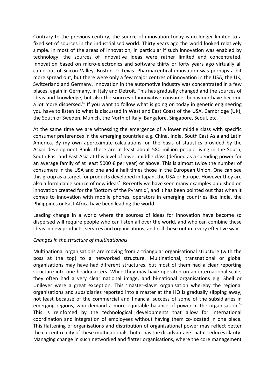Contrary to the previous century, the source of innovation today is no longer limited to a fixed set of sources in the industrialised world. Thirty years ago the world looked relatively simple. In most of the areas of innovation, in particular if such innovation was enabled by technology, the sources of innovative ideas were rather limited and concentrated. Innovation based on micro-electronics and software thirty or forty years ago virtually all came out of Silicon Valley, Boston or Texas. Pharmaceutical innovation was perhaps a bit more spread out, but there were only a few major centres of innovation in the USA, the UK, Switzerland and Germany. Innovation in the automotive industry was concentrated in a few places, again in Germany, in Italy and Detroit. This has gradually changed and the sources of ideas and knowledge, but also the sources of innovative consumer behaviour have become a lot more dispersed.<sup>ix</sup> If you want to follow what is going on today in genetic engineering you have to listen to what is discussed in West and East Coast of the USA, Cambridge (UK), the South of Sweden, Munich, the North of Italy, Bangalore, Singapore, Seoul, etc.

At the same time we are witnessing the emergence of a lower middle class with specific consumer preferences in the emerging countries e.g. China, India, South East Asia and Latin America. By my own approximate calculations, on the basis of statistics provided by the Asian development Bank, there are at least about 580 million people living in the South, South East and East Asia at this level of lower middle class (defined as a spending power for an average family of at least 5000  $\epsilon$  per year) or above. This is almost twice the number of consumers in the USA and one and a half times those in the European Union. One can see this group as a target for products developed in Japan, the USA or Europe. However they are also a formidable source of new ideas<sup>x</sup>. Recently we have seen many examples published on innovation created for the 'Bottom of the Pyramid', and it has been pointed out that when it comes to innovation with mobile phones, operators in emerging countries like India, the Philippines or East Africa have been leading the world.

Leading change in a world where the sources of ideas for innovation have become so dispersed will require people who can listen all over the world, and who can combine these ideas in new products, services and organisations, and roll these out in a very effective way.

#### *Changes in the structure of multinationals*

Multinational organisations are moving from a triangular organisational structure (with the boss at the top) to a networked structure. Multinational, transnational or global organisations may have had different structures, but most of them had a clear reporting structure into one headquarters. While they may have operated on an international scale, they often had a very clear national image, and bi‐national organisations e.g. Shell or Unilever were a great exception. This 'master‐slave' organisation whereby the regional organisations and subsidiaries reported into a master at the HQ is gradually slipping away, not least because of the commercial and financial success of some of the subsidiaries in emerging regions, who demand a more equitable balance of power in the organisation. $^{xi}$ This is reinforced by the technological developments that allow for international coordination and integration of employees without having them co-located in one place. This flattening of organisations and distribution of organisational power may reflect better the current reality of these multinationals, but it has the disadvantage that it reduces clarity. Managing change in such networked and flatter organisations, where the core management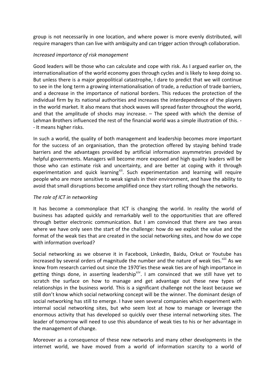group is not necessarily in one location, and where power is more evenly distributed, will require managers than can live with ambiguity and can trigger action through collaboration.

#### *Increased importance of risk management*

Good leaders will be those who can calculate and cope with risk. As I argued earlier on, the internationalisation of the world economy goes through cycles and is likely to keep doing so. But unless there is a major geopolitical catastrophe, I dare to predict that we will continue to see in the long term a growing internationalisation of trade, a reduction of trade barriers, and a decrease in the importance of national borders. This reduces the protection of the individual firm by its national authorities and increases the interdependence of the players in the world market. It also means that shock waves will spread faster throughout the world, and that the amplitude of shocks may increase. – The speed with which the demise of Lehman Brothers influenced the rest of the financial world was a simple illustration of this. ‐ ‐ It means higher risks.

In such a world, the quality of both management and leadership becomes more important for the success of an organisation, than the protection offered by staying behind trade barriers and the advantages provided by artificial information asymmetries provided by helpful governments. Managers will become more exposed and high quality leaders will be those who can estimate risk and uncertainty, and are better at coping with it through experimentation and quick learning<sup>xii</sup>. Such experimentation and learning will require people who are more sensitive to weak signals in their environment, and have the ability to avoid that small disruptions become amplified once they start rolling though the networks.

#### *The role of ICT in networking*

It has become a commonplace that ICT is changing the world. In reality the world of business has adapted quickly and remarkably well to the opportunities that are offered through better electronic communication. But I am convinced that there are two areas where we have only seen the start of the challenge: how do we exploit the value and the format of the weak ties that are created in the social networking sites, and how do we cope with information overload?

Social networking as we observe it in Facebook, LinkedIn, Baidu, Orkut or Youtube has increased by several orders of magnitude the number and the nature of weak ties. $^{xiii}$  As we know from research carried out since the 1970'ies these weak ties are of high importance in getting things done, in asserting leadership<sup>xiv</sup>. I am convinced that we still have yet to scratch the surface on how to manage and get advantage out these new types of relationships in the business world. This is a significant challenge not the least because we still don't know which social networking concept will be the winner. The dominant design of social networking has still to emerge. I have seen several companies which experiment with internal social networking sites, but who seem lost at how to manage or leverage the enormous activity that has developed so quickly over these internal networking sites. The leader of tomorrow will need to use this abundance of weak ties to his or her advantage in the management of change.

Moreover as a consequence of these new networks and many other developments in the internet world, we have moved from a world of information scarcity to a world of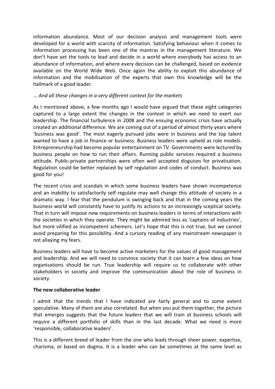information abundance. Most of our decision analysis and management tools were developed for a world with scarcity of information. Satisfying behaviour when it comes to information processing has been one of the mantras in the management literature. We don't have yet the tools to lead and decide in a world where everybody has access to an abundance of information, and where every decision can be challenged, based on evidence available on the World Wide Web. Once again the ability to exploit this abundance of information and the mobilisation of the experts that own this knowledge will be the hallmark of a good leader.

#### ... *And all these changes in a very different context for the markets*

As I mentioned above, a few months ago I would have argued that these eight categories captured to a large extent the changes in the context in which we need to exert our leadership. The financial turbulence in 2008 and the ensuing economic crisis have actually created an additional difference. We are coming out of a period of almost thirty years where 'business was good'. The most eagerly pursued jobs were in business and the top talent wanted to have a job in finance or business. Business leaders were upheld as role models. Entrepreneurship had become popular entertainment on TV. Governments were lectured by business people on how to run their affairs. Running public services required a business attitude. Public‐private partnerships were often well accepted disguises for privatisation. Regulation could be better replaced by self regulation and codes of conduct. Business was good for you!

The recent crisis and scandals in which some business leaders have shown incompetence and an inability to satisfactorily self regulate may well change this attitude of society in a dramatic way. I fear that the pendulum is swinging back and that in the coming years the business world will constantly have to justify its actions to an increasingly sceptical society. That in turn will impose new requirements on business leaders in terms of interactions with the societies in which they operate. They might be admired less as 'captains of industries', but more vilified as incompetent schemers. Let's hope that this is not true, but we cannot avoid preparing for this possibility. And a cursory reading of any mainstream newspaper is not allaying my fears.

Business leaders will have to become active marketers for the values of good management and leadership. And we will need to convince society that it can learn a few ideas on how organisations should be run. True leadership will require us to collaborate with other stakeholders in society and improve the communication about the role of business in society.

#### **The new collaborative leader**

I admit that the trends that I have indicated are fairly general and to some extent speculative. Many of them are also correlated. But when you put them together, the picture that emerges suggests that the future leaders that we will train at business schools will require a different portfolio of skills than in the last decade. What we need is more 'responsible, collaborative leaders'.

This is a different breed of leader from the one who leads through sheer power, expertise, charisma, or based on dogma. It is a leader who can be sometimes at the same level as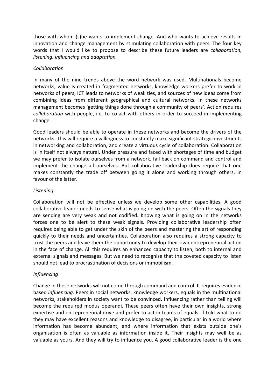those with whom (s)he wants to implement change. And who wants to achieve results in innovation and change management by stimulating collaboration with peers. The four key words that I would like to propose to describe these future leaders are *collaboration, listening, influencing and adaptation.*

#### *Collaboration*

In many of the nine trends above the word network was used. Multinationals become networks, value is created in fragmented networks, knowledge workers prefer to work in networks of peers, ICT leads to networks of weak ties, and sources of new ideas come from combining ideas from different geographical and cultural networks. In these networks management becomes 'getting things done through a community of peers'. Action requires *collaboration* with people, i.e. to co‐act with others in order to succeed in implementing change.

Good leaders should be able to operate in these networks and become the drivers of the networks. This will require a willingness to constantly make significant strategic investments in networking and collaboration, and create a virtuous cycle of collaboration. Collaboration is in itself not always natural. Under pressure and faced with shortages of time and budget we may prefer to isolate ourselves from a network, fall back on command and control and implement the change all ourselves. But collaborative leadership does require that one makes constantly the trade off between going it alone and working through others, in favour of the latter.

#### *Listening*

Collaboration will not be effective unless we develop some other capabilities. A good collaborative leader needs to sense what is going on with the peers. Often the signals they are sending are very weak and not codified. Knowing what is going on in the networks forces one to be alert to these weak signals. Providing collaborative leadership often requires being able to get under the skin of the peers and mastering the art of responding quickly to their needs and uncertainties. Collaboration also requires a strong capacity to trust the peers and leave them the opportunity to develop their own entrepreneurial action in the face of change. All this requires an enhanced capacity to listen, both to internal and external signals and messages. But we need to recognise that the coveted capacity to listen should not lead to procrastination of decisions or immobilism.

#### *Influencing*

Change in these networks will not come through command and control. It requires evidence based *influencing*. Peers in social networks, knowledge workers, equals in the multinational networks, stakeholders in society want to be convinced. Influencing rather than telling will become the required modus operandi. These peers often have their own insights, strong expertise and entrepreneurial drive and prefer to act in teams of equals. If told what to do they may have excellent reasons and knowledge to disagree, in particular in a world where information has become abundant, and where information that exists outside one's organisation is often as valuable as information inside it. Their insights may well be as valuable as yours. And they will try to influence you. A good collaborative leader is the one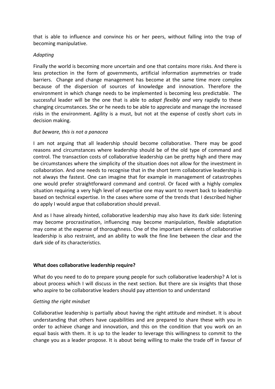that is able to influence and convince his or her peers, without falling into the trap of becoming manipulative.

#### *Adapting*

Finally the world is becoming more uncertain and one that contains more risks. And there is less protection in the form of governments, artificial information asymmetries or trade barriers. Change and change management has become at the same time more complex because of the dispersion of sources of knowledge and innovation. Therefore the environment in which change needs to be implemented is becoming less predictable. The successful leader will be the one that is able to *adapt flexibly and* very rapidly to these changing circumstances. She or he needs to be able to appreciate and manage the increased risks in the environment. Agility is a must, but not at the expense of costly short cuts in decision making.

#### *But beware, this is not a panacea*

I am not arguing that all leadership should become collaborative. There may be good reasons and circumstances where leadership should be of the old type of command and control. The transaction costs of collaborative leadership can be pretty high and there may be circumstances where the simplicity of the situation does not allow for the investment in collaboration. And one needs to recognise that in the short term collaborative leadership is not always the fastest. One can imagine that for example in management of catastrophes one would prefer straightforward command and control. Or faced with a highly complex situation requiring a very high level of expertise one may want to revert back to leadership based on technical expertise. In the cases where some of the trends that I described higher do apply I would argue that collaboration should prevail.

And as I have already hinted, collaborative leadership may also have its dark side: listening may become procrastination, influencing may become manipulation, flexible adaptation may come at the expense of thoroughness. One of the important elements of collaborative leadership is also restraint, and an ability to walk the fine line between the clear and the dark side of its characteristics.

#### **What does collaborative leadership require?**

What do you need to do to prepare young people for such collaborative leadership? A lot is about process which I will discuss in the next section. But there are six insights that those who aspire to be collaborative leaders should pay attention to and understand

#### *Getting the right mindset*

Collaborative leadership is partially about having the right attitude and mindset. It is about understanding that others have capabilities and are prepared to share these with you in order to achieve change and innovation, and this on the condition that you work on an equal basis with them. It is up to the leader to leverage this willingness to commit to the change you as a leader propose. It is about being willing to make the trade off in favour of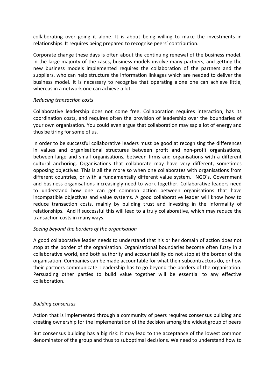collaborating over going it alone. It is about being willing to make the investments in relationships. It requires being prepared to recognise peers' contribution.

Corporate change these days is often about the continuing renewal of the business model. In the large majority of the cases, business models involve many partners, and getting the new business models implemented requires the collaboration of the partners and the suppliers, who can help structure the information linkages which are needed to deliver the business model. It is necessary to recognise that operating alone one can achieve little, whereas in a network one can achieve a lot.

#### *Reducing transaction costs*

Collaborative leadership does not come free. Collaboration requires interaction, has its coordination costs, and requires often the provision of leadership over the boundaries of your own organisation. You could even argue that collaboration may sap a lot of energy and thus be tiring for some of us.

In order to be successful collaborative leaders must be good at recognising the differences in values and organisational structures between profit and non‐profit organisations, between large and small organisations, between firms and organisations with a different cultural anchoring. Organisations that collaborate may have very different, sometimes opposing objectives. This is all the more so when one collaborates with organisations from different countries, or with a fundamentally different value system. NGO's, Government and business organisations increasingly need to work together. Collaborative leaders need to understand how one can get common action between organisations that have incompatible objectives and value systems. A good collaborative leader will know how to reduce transaction costs, mainly by building trust and investing in the informality of relationships. And if successful this will lead to a truly collaborative, which may reduce the transaction costs in many ways.

#### *Seeing beyond the borders of the organisation*

A good collaborative leader needs to understand that his or her domain of action does not stop at the border of the organisation. Organisational boundaries become often fuzzy in a collaborative world, and both authority and accountability do not stop at the border of the organisation. Companies can be made accountable for what their subcontractors do, or how their partners communicate. Leadership has to go beyond the borders of the organisation. Persuading other parties to build value together will be essential to any effective collaboration.

#### *Building consensus*

Action that is implemented through a community of peers requires consensus building and creating ownership for the implementation of the decision among the widest group of peers

But consensus building has a big risk: it may lead to the acceptance of the lowest common denominator of the group and thus to suboptimal decisions. We need to understand how to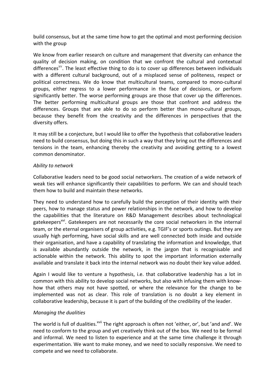build consensus, but at the same time how to get the optimal and most performing decision with the group

We know from earlier research on culture and management that diversity can enhance the quality of decision making, on condition that we confront the cultural and contextual differences<sup>xv</sup>. The least effective thing to do is to cover up differences between individuals with a different cultural background, out of a misplaced sense of politeness, respect or political correctness. We do know that multicultural teams, compared to mono‐cultural groups, either regress to a lower performance in the face of decisions, or perform significantly better. The worse performing groups are those that cover up the differences. The better performing multicultural groups are those that confront and address the differences. Groups that are able to do so perform better than mono-cultural groups, because they benefit from the creativity and the differences in perspectives that the diversity offers.

It may still be a conjecture, but I would like to offer the hypothesis that collaborative leaders need to build consensus, but doing this in such a way that they bring out the differences and tensions in the team, enhancing thereby the creativity and avoiding getting to a lowest common denominator.

#### *Ability to network*

Collaborative leaders need to be good social networkers. The creation of a wide network of weak ties will enhance significantly their capabilities to perform. We can and should teach them how to build and maintain these networks.

They need to understand how to carefully build the perception of their identity with their peers, how to manage status and power relationships in the network, and how to develop the capabilities that the literature on R&D Management describes about technological gatekeepers<sup>xvi</sup>. Gatekeepers are not necessarily the core social networkers in the internal team, or the eternal organisers of group activities, e.g. TGIF's or sports outings. But they are usually high performing, have social skills and are well connected both inside and outside their organisation, and have a capability of translating the information and knowledge, that is available abundantly outside the network, in the jargon that is recognisable and actionable within the network. This ability to spot the important information externally available and translate it back into the internal network was no doubt their key value added.

Again I would like to venture a hypothesis, i.e. that collaborative leadership has a lot in common with this ability to develop social networks, but also with infusing them with know‐ how that others may not have spotted, or where the relevance for the change to be implemented was not as clear. This role of translation is no doubt a key element in collaborative leadership, because it is part of the building of the credibility of the leader.

#### *Managing the dualities*

The world is full of dualities.<sup>xvii</sup> The right approach is often not 'either, or', but 'and and'. We need to conform to the group and yet creatively think out of the box. We need to be formal and informal. We need to listen to experience and at the same time challenge it through experimentation. We want to make money, and we need to socially responsive. We need to compete and we need to collaborate.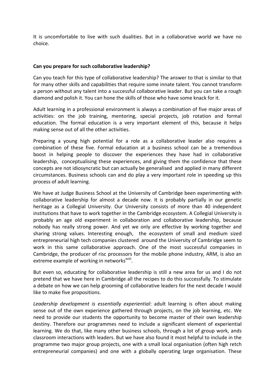It is uncomfortable to live with such dualities. But in a collaborative world we have no choice.

#### **Can you prepare for such collaborative leadership?**

Can you teach for this type of collaborative leadership? The answer to that is similar to that for many other skills and capabilities that require some innate talent. You cannot transform a person without any talent into a successful collaborative leader. But you can take a rough diamond and polish it. You can hone the skills of those who have some knack for it.

Adult learning in a professional environment is always a combination of five major areas of activities: on the job training, mentoring, special projects, job rotation and formal education. The formal education is a very important element of this, because it helps making sense out of all the other activities.

Preparing a young high potential for a role as a collaborative leader also requires a combination of these five. Formal education at a business school can be a tremendous boost in helping people to discover the experiences they have had in collaborative leadership, conceptualising these experiences, and giving them the confidence that these concepts are not idiosyncratic but can actually be generalised and applied in many different circumstances. Business schools can and do play a very important role in speeding up this process of adult learning.

We have at Judge Business School at the University of Cambridge been experimenting with collaborative leadership for almost a decade now. It is probably partially in our genetic heritage as a Collegial University. Our University consists of more than 40 independent institutions that have to work together in the Cambridge ecosystem. A Collegial University is probably an age old experiment in collaboration and collaborative leadership, because nobody has really strong power. And yet we only are effective by working together and sharing strong values. Interesting enough, the ecosystem of small and medium sized entrepreneurial high tech companies clustered around the University of Cambridge seem to work in this same collaborative approach. One of the most successful companies in Cambridge, the producer of risc processors for the mobile phone industry, ARM, is also an extreme example of working in networks<sup>xviii</sup>.

But even so, educating for collaborative leadership is still a new area for us and I do not pretend that we have here in Cambridge all the recipes to do this successfully. To stimulate a debate on how we can help grooming of collaborative leaders for the next decade I would like to make five propositions.

*Leadership development is essentially experiential*: adult learning is often about making sense out of the own experience gathered through projects, on the job learning, etc. We need to provide our students the opportunity to become master of their own leadership destiny. Therefore our programmes need to include a significant element of experiential learning. We do that, like many other business schools, through a lot of group work, ands classroom interactions with leaders. But we have also found it most helpful to include in the programme two major group projects, one with a small local organisation (often high retch entrepreneurial companies) and one with a globally operating large organisation. These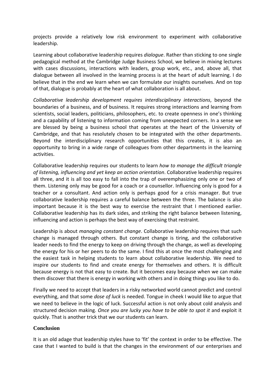projects provide a relatively low risk environment to experiment with collaborative leadership.

Learning about collaborative leadership requires *dialogue*. Rather than sticking to one single pedagogical method at the Cambridge Judge Business School, we believe in mixing lectures with cases discussions, interactions with leaders, group work, etc., and, above all, that dialogue between all involved in the learning process is at the heart of adult learning. I do believe that in the end we learn when we can formulate our insights ourselves. And on top of that, dialogue is probably at the heart of what collaboration is all about.

*Collaborative leadership development requires interdisciplinary interactions*, beyond the boundaries of a business, and of business. It requires strong interactions and learning from scientists, social leaders, politicians, philosophers, etc. to create openness in one's thinking and a capability of listening to information coming from unexpected corners. In a sense we are blessed by being a business school that operates at the heart of the University of Cambridge, and that has resolutely chosen to be integrated with the other departments. Beyond the interdisciplinary research opportunities that this creates, it is also an opportunity to bring in a wide range of colleagues from other departments in the learning activities.

Collaborative leadership requires our students to learn *how to manage the difficult triangle of listening, influencing and yet keep an action orientation*. Collaborative leadership requires all three, and it is all too easy to fall into the trap of overemphasizing only one or two of them. Listening only may be good for a coach or a counsellor. Influencing only is good for a teacher or a consultant. And action only is perhaps good for a crisis manager. But true collaborative leadership requires a careful balance between the three. The balance is also important because it is the best way to exercise the restraint that I mentioned earlier. Collaborative leadership has its dark sides, and striking the right balance between listening, influencing and action is perhaps the best way of exercising that restraint.

Leadership is about *managing constant change*. Collaborative leadership requires that such change is managed through others. But constant change is tiring, and the collaborative leader needs to find the energy to keep on driving through the change, as well as developing the energy for his or her peers to do the same. I find this at once the most challenging and the easiest task in helping students to learn about collaborative leadership. We need to inspire our students to find and create energy for themselves and others. It is difficult because energy is not that easy to create. But it becomes easy because when we can make them discover that there is energy in working with others and in doing things you like to do.

Finally we need to accept that leaders in a risky networked world cannot predict and control everything, and that some *dose of luck* is needed. Tongue in cheek I would like to argue that we need to believe in the logic of luck. Successful action is not only about cold analysis and structured decision making. *Once you are lucky you have to be able to spot it* and exploit it quickly. That is another trick that we our students can learn.

#### **Conclusion**

It is an old adage that leadership styles have to 'fit' the context in order to be effective. The case that I wanted to build is that the changes in the environment of our enterprises and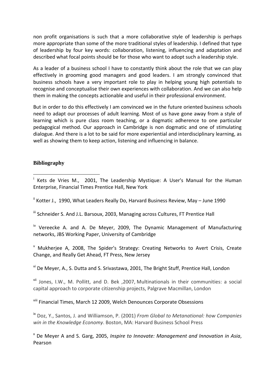non profit organisations is such that a more collaborative style of leadership is perhaps more appropriate than some of the more traditional styles of leadership. I defined that type of leadership by four key words: collaboration, listening, influencing and adaptation and described what focal points should be for those who want to adopt such a leadership style.

As a leader of a business school I have to constantly think about the role that we can play effectively in grooming good managers and good leaders. I am strongly convinced that business schools have a very important role to play in helping young high potentials to recognise and conceptualise their own experiences with collaboration. And we can also help them in making the concepts actionable and useful in their professional environment.

But in order to do this effectively I am convinced we in the future oriented business schools need to adapt our processes of adult learning. Most of us have gone away from a style of learning which is pure class room teaching, or a dogmatic adherence to one particular pedagogical method. Our approach in Cambridge is non dogmatic and one of stimulating dialogue. And there is a lot to be said for more experiential and interdisciplinary learning, as well as showing them to keep action, listening and influencing in balance.

#### **Bibliography**

<sup>i</sup> Kets de Vries M., 2001, The Leadership Mystique: A User's Manual for the Human Enterprise, Financial Times Prentice Hall, New York

ii Kotter J., 1990, What Leaders Really Do, Harvard Business Review, May – June 1990

<sup>iii</sup> Schneider S. And J.L. Barsoux, 2003, Managing across Cultures, FT Prentice Hall

 $\mu$ <sup>iv</sup> Vereecke A. and A. De Meyer, 2009, The Dynamic Management of Manufacturing networks, JBS Working Paper, University of Cambridge

<sup>v</sup> Mukherjee A, 2008, The Spider's Strategy: Creating Networks to Avert Crisis, Create Change, and Really Get Ahead, FT Press, New Jersey

vi De Meyer, A., S. Dutta and S. Srivastawa, 2001, The Bright Stuff, Prentice Hall, London

vii Jones, I.W., M. Pollitt, and D. Bek , 2007, Multinationals in their communities: a social capital approach to corporate citizenship projects, Palgrave Macmillan, London

viii Financial Times, March 12 2009, Welch Denounces Corporate Obsessions

ix Doz, Y., Santos, J. and Williamson, P. (2001) *From Global to Metanational: how Companies win in the Knowledge Economy*. Boston, MA: Harvard Business School Press

<sup>x</sup> De Meyer A and S. Garg, 2005, *Inspire to Innovate: Management and Innovation in Asia*, Pearson